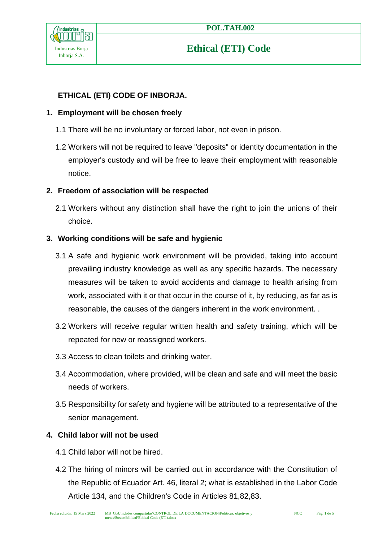

### **ETHICAL (ETI) CODE OF INBORJA.**

#### **1. Employment will be chosen freely**

- 1.1 There will be no involuntary or forced labor, not even in prison.
- 1.2 Workers will not be required to leave "deposits" or identity documentation in the employer's custody and will be free to leave their employment with reasonable notice.

#### **2. Freedom of association will be respected**

2.1 Workers without any distinction shall have the right to join the unions of their choice.

#### **3. Working conditions will be safe and hygienic**

- 3.1 A safe and hygienic work environment will be provided, taking into account prevailing industry knowledge as well as any specific hazards. The necessary measures will be taken to avoid accidents and damage to health arising from work, associated with it or that occur in the course of it, by reducing, as far as is reasonable, the causes of the dangers inherent in the work environment. .
- 3.2 Workers will receive regular written health and safety training, which will be repeated for new or reassigned workers.
- 3.3 Access to clean toilets and drinking water.
- 3.4 Accommodation, where provided, will be clean and safe and will meet the basic needs of workers.
- 3.5 Responsibility for safety and hygiene will be attributed to a representative of the senior management.

### **4. Child labor will not be used**

- 4.1 Child labor will not be hired.
- 4.2 The hiring of minors will be carried out in accordance with the Constitution of the Republic of Ecuador Art. 46, literal 2; what is established in the Labor Code Article 134, and the Children's Code in Articles 81,82,83.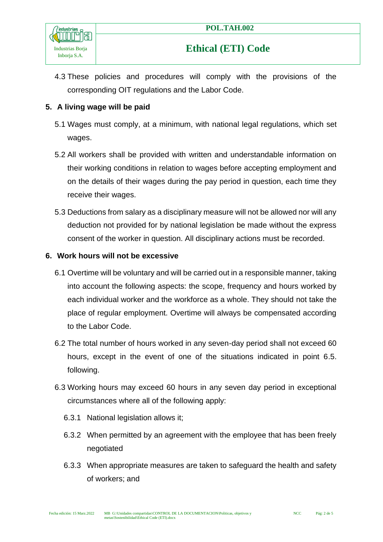

4.3 These policies and procedures will comply with the provisions of the corresponding OIT regulations and the Labor Code.

### **5. A living wage will be paid**

- 5.1 Wages must comply, at a minimum, with national legal regulations, which set wages.
- 5.2 All workers shall be provided with written and understandable information on their working conditions in relation to wages before accepting employment and on the details of their wages during the pay period in question, each time they receive their wages.
- 5.3 Deductions from salary as a disciplinary measure will not be allowed nor will any deduction not provided for by national legislation be made without the express consent of the worker in question. All disciplinary actions must be recorded.

#### **6. Work hours will not be excessive**

- 6.1 Overtime will be voluntary and will be carried out in a responsible manner, taking into account the following aspects: the scope, frequency and hours worked by each individual worker and the workforce as a whole. They should not take the place of regular employment. Overtime will always be compensated according to the Labor Code.
- 6.2 The total number of hours worked in any seven-day period shall not exceed 60 hours, except in the event of one of the situations indicated in point 6.5. following.
- 6.3 Working hours may exceed 60 hours in any seven day period in exceptional circumstances where all of the following apply:
	- 6.3.1 National legislation allows it;
	- 6.3.2 When permitted by an agreement with the employee that has been freely negotiated
	- 6.3.3 When appropriate measures are taken to safeguard the health and safety of workers; and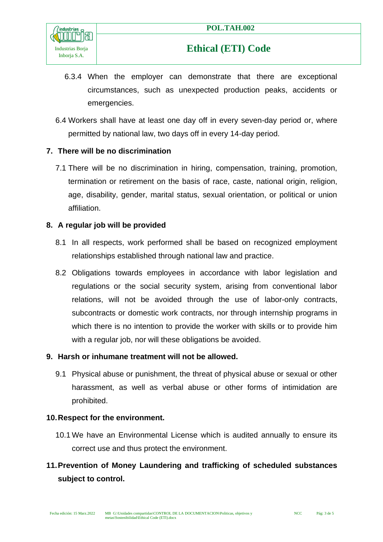

- 6.3.4 When the employer can demonstrate that there are exceptional circumstances, such as unexpected production peaks, accidents or emergencies.
- 6.4 Workers shall have at least one day off in every seven-day period or, where permitted by national law, two days off in every 14-day period.

#### **7. There will be no discrimination**

7.1 There will be no discrimination in hiring, compensation, training, promotion, termination or retirement on the basis of race, caste, national origin, religion, age, disability, gender, marital status, sexual orientation, or political or union affiliation.

#### **8. A regular job will be provided**

- 8.1 In all respects, work performed shall be based on recognized employment relationships established through national law and practice.
- 8.2 Obligations towards employees in accordance with labor legislation and regulations or the social security system, arising from conventional labor relations, will not be avoided through the use of labor-only contracts, subcontracts or domestic work contracts, nor through internship programs in which there is no intention to provide the worker with skills or to provide him with a regular job, nor will these obligations be avoided.

#### **9. Harsh or inhumane treatment will not be allowed.**

9.1 Physical abuse or punishment, the threat of physical abuse or sexual or other harassment, as well as verbal abuse or other forms of intimidation are prohibited.

#### **10.Respect for the environment.**

10.1 We have an Environmental License which is audited annually to ensure its correct use and thus protect the environment.

### **11.Prevention of Money Laundering and trafficking of scheduled substances subject to control.**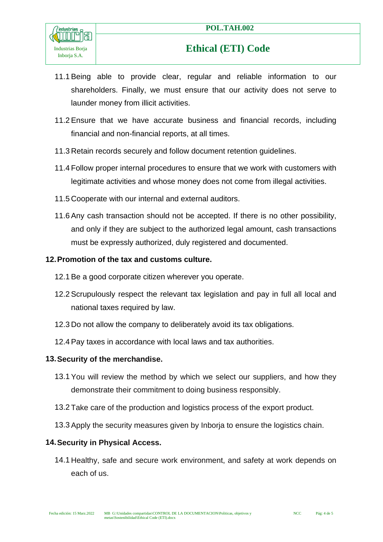

- 11.1 Being able to provide clear, regular and reliable information to our shareholders. Finally, we must ensure that our activity does not serve to launder money from illicit activities.
- 11.2 Ensure that we have accurate business and financial records, including financial and non-financial reports, at all times.
- 11.3 Retain records securely and follow document retention guidelines.
- 11.4 Follow proper internal procedures to ensure that we work with customers with legitimate activities and whose money does not come from illegal activities.
- 11.5 Cooperate with our internal and external auditors.
- 11.6 Any cash transaction should not be accepted. If there is no other possibility, and only if they are subject to the authorized legal amount, cash transactions must be expressly authorized, duly registered and documented.

#### **12.Promotion of the tax and customs culture.**

- 12.1 Be a good corporate citizen wherever you operate.
- 12.2 Scrupulously respect the relevant tax legislation and pay in full all local and national taxes required by law.
- 12.3 Do not allow the company to deliberately avoid its tax obligations.
- 12.4 Pay taxes in accordance with local laws and tax authorities.

#### **13.Security of the merchandise.**

- 13.1 You will review the method by which we select our suppliers, and how they demonstrate their commitment to doing business responsibly.
- 13.2 Take care of the production and logistics process of the export product.
- 13.3 Apply the security measures given by Inborja to ensure the logistics chain.

#### **14.Security in Physical Access.**

14.1 Healthy, safe and secure work environment, and safety at work depends on each of us.